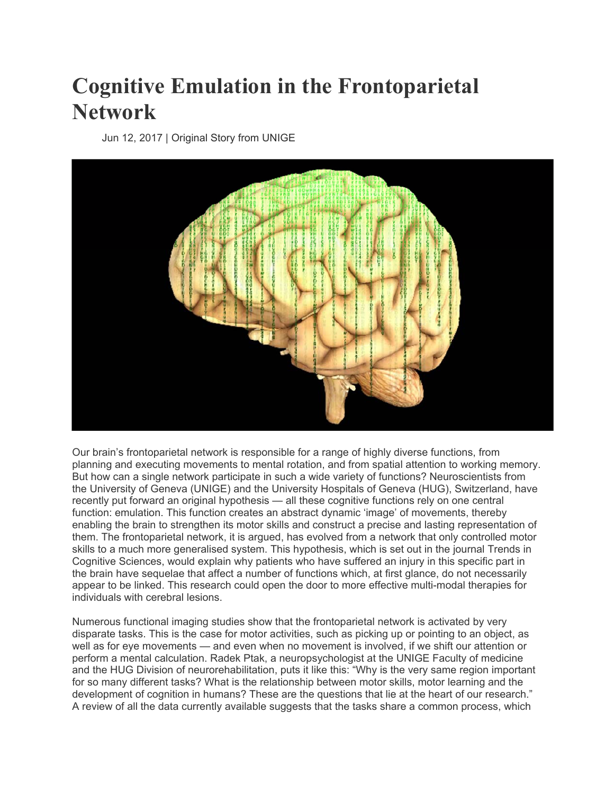## **Cognitive Emulation in the Frontoparietal Network**

Jun 12, 2017 | Original Story from UNIGE



Our brain's frontoparietal network is responsible for a range of highly diverse functions, from planning and executing movements to mental rotation, and from spatial attention to working memory. But how can a single network participate in such a wide variety of functions? Neuroscientists from the University of Geneva (UNIGE) and the University Hospitals of Geneva (HUG), Switzerland, have recently put forward an original hypothesis — all these cognitive functions rely on one central function: emulation. This function creates an abstract dynamic 'image' of movements, thereby enabling the brain to strengthen its motor skills and construct a precise and lasting representation of them. The frontoparietal network, it is argued, has evolved from a network that only controlled motor skills to a much more generalised system. This hypothesis, which is set out in the journal Trends in Cognitive Sciences, would explain why patients who have suffered an injury in this specific part in the brain have sequelae that affect a number of functions which, at first glance, do not necessarily appear to be linked. This research could open the door to more effective multi-modal therapies for individuals with cerebral lesions.

Numerous functional imaging studies show that the frontoparietal network is activated by very disparate tasks. This is the case for motor activities, such as picking up or pointing to an object, as well as for eye movements — and even when no movement is involved, if we shift our attention or perform a mental calculation. Radek Ptak, a neuropsychologist at the UNIGE Faculty of medicine and the HUG Division of neurorehabilitation, puts it like this: "Why is the very same region important for so many different tasks? What is the relationship between motor skills, motor learning and the development of cognition in humans? These are the questions that lie at the heart of our research." A review of all the data currently available suggests that the tasks share a common process, which